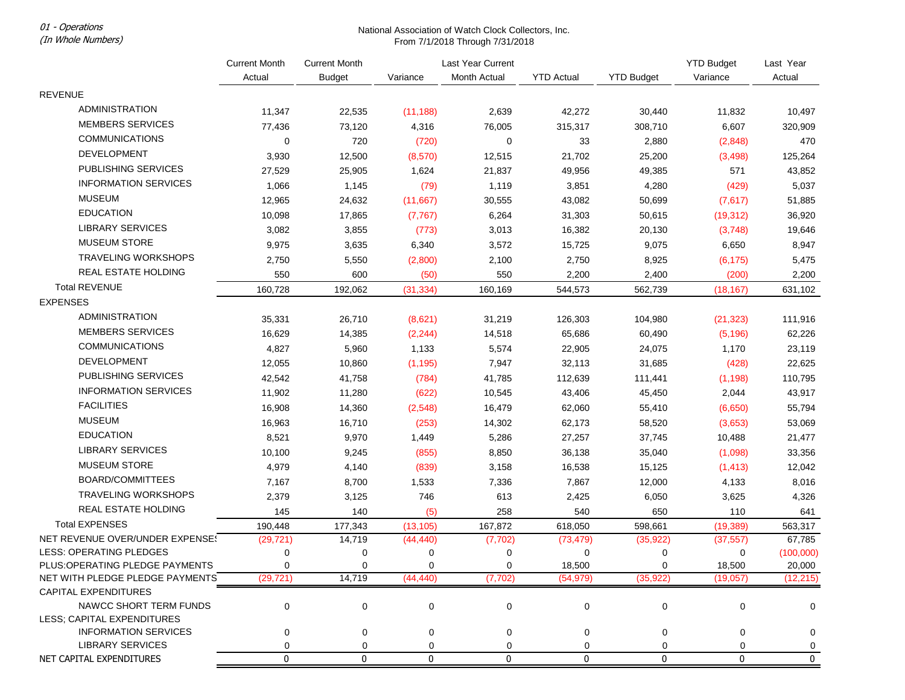01 - Operations

(In Whole Numbers)

## National Association of Watch Clock Collectors, Inc. From 7/1/2018 Through 7/31/2018

|                                                 | <b>Current Month</b><br>Actual | <b>Current Month</b><br><b>Budget</b> | Variance    | Last Year Current<br>Month Actual | <b>YTD Actual</b> | <b>YTD Budget</b> | <b>YTD Budget</b><br>Variance | Last Year<br>Actual |
|-------------------------------------------------|--------------------------------|---------------------------------------|-------------|-----------------------------------|-------------------|-------------------|-------------------------------|---------------------|
| <b>REVENUE</b>                                  |                                |                                       |             |                                   |                   |                   |                               |                     |
| <b>ADMINISTRATION</b>                           |                                |                                       |             |                                   |                   |                   |                               |                     |
| <b>MEMBERS SERVICES</b>                         | 11,347                         | 22,535                                | (11, 188)   | 2,639                             | 42,272            | 30,440            | 11,832                        | 10,497              |
| <b>COMMUNICATIONS</b>                           | 77,436                         | 73,120                                | 4,316       | 76,005                            | 315,317<br>33     | 308,710           | 6,607                         | 320,909             |
| <b>DEVELOPMENT</b>                              | 0                              | 720                                   | (720)       | 0                                 |                   | 2,880             | (2,848)                       | 470                 |
| <b>PUBLISHING SERVICES</b>                      | 3,930                          | 12,500                                | (8, 570)    | 12,515                            | 21,702            | 25,200            | (3, 498)                      | 125,264             |
| <b>INFORMATION SERVICES</b>                     | 27,529                         | 25,905                                | 1,624       | 21,837                            | 49,956            | 49,385            | 571                           | 43,852              |
| <b>MUSEUM</b>                                   | 1,066                          | 1,145                                 | (79)        | 1,119                             | 3,851             | 4,280             | (429)                         | 5,037               |
| <b>EDUCATION</b>                                | 12,965                         | 24,632                                | (11, 667)   | 30,555                            | 43,082            | 50,699            | (7,617)                       | 51,885              |
|                                                 | 10,098                         | 17,865                                | (7, 767)    | 6,264                             | 31,303            | 50,615            | (19, 312)                     | 36,920              |
| LIBRARY SERVICES                                | 3,082                          | 3,855                                 | (773)       | 3,013                             | 16,382            | 20,130            | (3,748)                       | 19,646              |
| <b>MUSEUM STORE</b>                             | 9,975                          | 3,635                                 | 6,340       | 3,572                             | 15,725            | 9,075             | 6,650                         | 8,947               |
| <b>TRAVELING WORKSHOPS</b>                      | 2,750                          | 5,550                                 | (2,800)     | 2,100                             | 2,750             | 8,925             | (6, 175)                      | 5,475               |
| REAL ESTATE HOLDING                             | 550                            | 600                                   | (50)        | 550                               | 2,200             | 2,400             | (200)                         | 2,200               |
| <b>Total REVENUE</b>                            | 160,728                        | 192,062                               | (31, 334)   | 160,169                           | 544,573           | 562,739           | (18, 167)                     | 631,102             |
| <b>EXPENSES</b>                                 |                                |                                       |             |                                   |                   |                   |                               |                     |
| <b>ADMINISTRATION</b>                           | 35,331                         | 26,710                                | (8,621)     | 31,219                            | 126,303           | 104,980           | (21, 323)                     | 111,916             |
| <b>MEMBERS SERVICES</b>                         | 16,629                         | 14,385                                | (2, 244)    | 14,518                            | 65,686            | 60,490            | (5, 196)                      | 62,226              |
| <b>COMMUNICATIONS</b>                           | 4,827                          | 5,960                                 | 1,133       | 5,574                             | 22,905            | 24,075            | 1,170                         | 23,119              |
| <b>DEVELOPMENT</b>                              | 12,055                         | 10,860                                | (1, 195)    | 7,947                             | 32,113            | 31,685            | (428)                         | 22,625              |
| <b>PUBLISHING SERVICES</b>                      | 42,542                         | 41,758                                | (784)       | 41,785                            | 112,639           | 111,441           | (1, 198)                      | 110,795             |
| <b>INFORMATION SERVICES</b>                     | 11,902                         | 11,280                                | (622)       | 10,545                            | 43,406            | 45,450            | 2,044                         | 43,917              |
| <b>FACILITIES</b>                               | 16,908                         | 14,360                                | (2, 548)    | 16,479                            | 62,060            | 55,410            | (6,650)                       | 55,794              |
| <b>MUSEUM</b>                                   | 16,963                         | 16,710                                | (253)       | 14,302                            | 62,173            | 58,520            | (3,653)                       | 53,069              |
| <b>EDUCATION</b>                                | 8,521                          | 9,970                                 | 1,449       | 5,286                             | 27,257            | 37,745            | 10,488                        | 21,477              |
| <b>LIBRARY SERVICES</b>                         | 10,100                         | 9,245                                 | (855)       | 8,850                             | 36,138            | 35,040            | (1,098)                       | 33,356              |
| <b>MUSEUM STORE</b>                             | 4,979                          | 4,140                                 | (839)       | 3,158                             | 16,538            | 15,125            | (1, 413)                      | 12,042              |
| BOARD/COMMITTEES                                | 7,167                          | 8,700                                 | 1,533       | 7,336                             | 7,867             | 12,000            | 4,133                         | 8,016               |
| <b>TRAVELING WORKSHOPS</b>                      | 2,379                          | 3,125                                 | 746         | 613                               | 2,425             | 6,050             | 3,625                         | 4,326               |
| REAL ESTATE HOLDING                             | 145                            | 140                                   | (5)         | 258                               | 540               | 650               | 110                           | 641                 |
| <b>Total EXPENSES</b>                           | 190,448                        | 177,343                               | (13, 105)   | 167,872                           | 618,050           | 598,661           | (19, 389)                     | 563,317             |
| NET REVENUE OVER/UNDER EXPENSE!                 | (29, 721)                      | 14,719                                | (44, 440)   | (7, 702)                          | (73, 479)         | (35, 922)         | (37, 557)                     | 67,785              |
| LESS: OPERATING PLEDGES                         | 0                              | 0                                     | 0           | 0                                 | 0                 | 0                 | 0                             | (100,000)           |
| PLUS: OPERATING PLEDGE PAYMENTS                 | 0                              | 0                                     | 0           | 0                                 | 18,500            |                   | 18,500                        | 20,000              |
| NET WITH PLEDGE PLEDGE PAYMENTS                 | (29, 721)                      | 14,719                                | (44, 440)   | (7, 702)                          | (54, 979)         | (35, 922)         | (19,057)                      | (12, 215)           |
| <b>CAPITAL EXPENDITURES</b>                     |                                |                                       |             |                                   |                   |                   |                               |                     |
| NAWCC SHORT TERM FUNDS                          | 0                              | 0                                     | $\mathbf 0$ | 0                                 | $\mathbf 0$       | 0                 | 0                             | 0                   |
| LESS: CAPITAL EXPENDITURES                      |                                |                                       |             |                                   |                   |                   |                               |                     |
| <b>INFORMATION SERVICES</b><br>LIBRARY SERVICES | 0                              | 0                                     | 0           | 0                                 | 0                 | 0                 | 0                             | 0                   |
| NET CAPITAL EXPENDITURES                        | 0<br>0                         | 0<br>0                                | 0<br>0      | 0<br>0                            | 0<br>0            | 0<br>0            | 0<br>0                        | 0<br>0              |
|                                                 |                                |                                       |             |                                   |                   |                   |                               |                     |